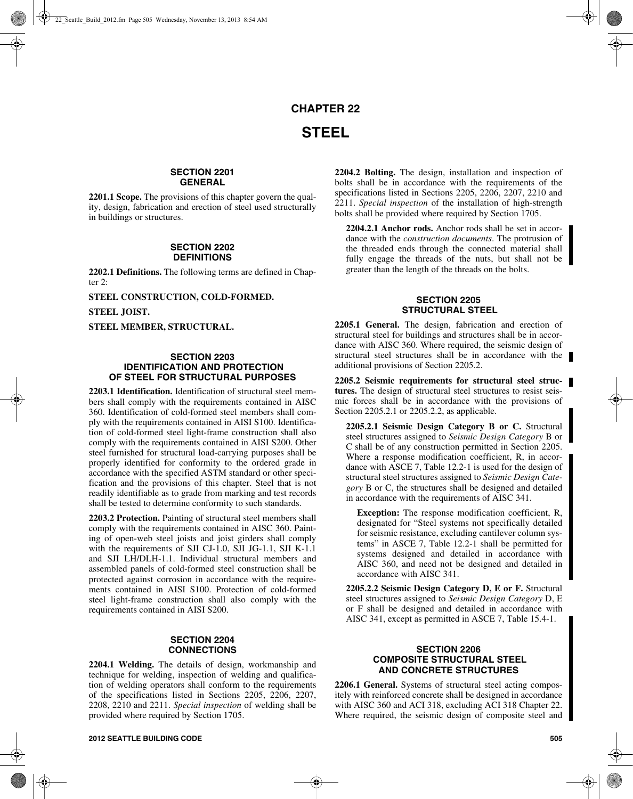# **CHAPTER 22 STEEL**

## **SECTION 2201 GENERAL**

**2201.1 Scope.** The provisions of this chapter govern the quality, design, fabrication and erection of steel used structurally in buildings or structures.

### **SECTION 2202 DEFINITIONS**

**2202.1 Definitions.** The following terms are defined in Chapter 2:

**STEEL CONSTRUCTION, COLD-FORMED.**

**STEEL JOIST.**

**STEEL MEMBER, STRUCTURAL.**

## **SECTION 2203 IDENTIFICATION AND PROTECTION OF STEEL FOR STRUCTURAL PURPOSES**

**2203.1 Identification.** Identification of structural steel members shall comply with the requirements contained in AISC 360. Identification of cold-formed steel members shall comply with the requirements contained in AISI S100. Identification of cold-formed steel light-frame construction shall also comply with the requirements contained in AISI S200. Other steel furnished for structural load-carrying purposes shall be properly identified for conformity to the ordered grade in accordance with the specified ASTM standard or other specification and the provisions of this chapter. Steel that is not readily identifiable as to grade from marking and test records shall be tested to determine conformity to such standards.

**2203.2 Protection.** Painting of structural steel members shall comply with the requirements contained in AISC 360. Painting of open-web steel joists and joist girders shall comply with the requirements of SJI CJ-1.0, SJI JG-1.1, SJI K-1.1 and SJI LH/DLH-1.1. Individual structural members and assembled panels of cold-formed steel construction shall be protected against corrosion in accordance with the requirements contained in AISI S100. Protection of cold-formed steel light-frame construction shall also comply with the requirements contained in AISI S200.

## **SECTION 2204 CONNECTIONS**

**2204.1 Welding.** The details of design, workmanship and technique for welding, inspection of welding and qualification of welding operators shall conform to the requirements of the specifications listed in Sections 2205, 2206, 2207, 2208, 2210 and 2211. *Special inspection* of welding shall be provided where required by Section 1705.

**2204.2 Bolting.** The design, installation and inspection of bolts shall be in accordance with the requirements of the specifications listed in Sections 2205, 2206, 2207, 2210 and 2211. *Special inspection* of the installation of high-strength bolts shall be provided where required by Section 1705.

**2204.2.1 Anchor rods.** Anchor rods shall be set in accordance with the *construction documents*. The protrusion of the threaded ends through the connected material shall fully engage the threads of the nuts, but shall not be greater than the length of the threads on the bolts.

# **SECTION 2205 STRUCTURAL STEEL**

**2205.1 General.** The design, fabrication and erection of structural steel for buildings and structures shall be in accordance with AISC 360. Where required, the seismic design of structural steel structures shall be in accordance with the additional provisions of Section 2205.2.

**2205.2 Seismic requirements for structural steel structures.** The design of structural steel structures to resist seismic forces shall be in accordance with the provisions of Section 2205.2.1 or 2205.2.2, as applicable.

**2205.2.1 Seismic Design Category B or C.** Structural steel structures assigned to *Seismic Design Category* B or C shall be of any construction permitted in Section 2205. Where a response modification coefficient, R, in accordance with ASCE 7, Table 12.2-1 is used for the design of structural steel structures assigned to *Seismic Design Category* B or C, the structures shall be designed and detailed in accordance with the requirements of AISC 341.

**Exception:** The response modification coefficient, R, designated for "Steel systems not specifically detailed for seismic resistance, excluding cantilever column systems" in ASCE 7, Table 12.2-1 shall be permitted for systems designed and detailed in accordance with AISC 360, and need not be designed and detailed in accordance with AISC 341.

**2205.2.2 Seismic Design Category D, E or F.** Structural steel structures assigned to *Seismic Design Category* D, E or F shall be designed and detailed in accordance with AISC 341, except as permitted in ASCE 7, Table 15.4-1.

## **SECTION 2206 COMPOSITE STRUCTURAL STEEL AND CONCRETE STRUCTURES**

**2206.1 General.** Systems of structural steel acting compositely with reinforced concrete shall be designed in accordance with AISC 360 and ACI 318, excluding ACI 318 Chapter 22. Where required, the seismic design of composite steel and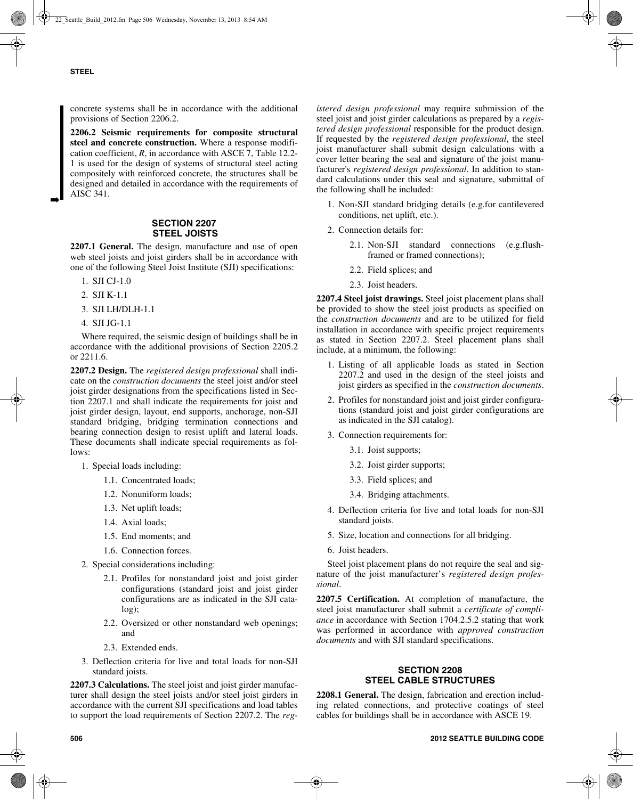➡

concrete systems shall be in accordance with the additional provisions of Section 2206.2.

**2206.2 Seismic requirements for composite structural steel and concrete construction.** Where a response modification coefficient, *R*, in accordance with ASCE 7, Table 12.2- 1 is used for the design of systems of structural steel acting compositely with reinforced concrete, the structures shall be designed and detailed in accordance with the requirements of AISC 341.

## **SECTION 2207 STEEL JOISTS**

**2207.1 General.** The design, manufacture and use of open web steel joists and joist girders shall be in accordance with one of the following Steel Joist Institute (SJI) specifications:

- 1. SJI CJ-1.0
- 2. SJI K-1.1
- 3. SJI LH/DLH-1.1
- 4. SJI JG-1.1

Where required, the seismic design of buildings shall be in accordance with the additional provisions of Section 2205.2 or 2211.6.

**2207.2 Design.** The *registered design professional* shall indicate on the *construction documents* the steel joist and/or steel joist girder designations from the specifications listed in Section 2207.1 and shall indicate the requirements for joist and joist girder design, layout, end supports, anchorage, non-SJI standard bridging, bridging termination connections and bearing connection design to resist uplift and lateral loads. These documents shall indicate special requirements as follows:

- 1. Special loads including:
	- 1.1. Concentrated loads;
	- 1.2. Nonuniform loads;
	- 1.3. Net uplift loads;
	- 1.4. Axial loads;
	- 1.5. End moments; and
	- 1.6. Connection forces.
- 2. Special considerations including:
	- 2.1. Profiles for nonstandard joist and joist girder configurations (standard joist and joist girder configurations are as indicated in the SJI catalog);
	- 2.2. Oversized or other nonstandard web openings; and
	- 2.3. Extended ends.
- 3. Deflection criteria for live and total loads for non-SJI standard joists.

**2207.3 Calculations.** The steel joist and joist girder manufacturer shall design the steel joists and/or steel joist girders in accordance with the current SJI specifications and load tables to support the load requirements of Section 2207.2. The *reg-* *istered design professional* may require submission of the steel joist and joist girder calculations as prepared by a *registered design professional* responsible for the product design. If requested by the *registered design professional*, the steel joist manufacturer shall submit design calculations with a cover letter bearing the seal and signature of the joist manufacturer's *registered design professional*. In addition to standard calculations under this seal and signature, submittal of the following shall be included:

- 1. Non-SJI standard bridging details (e.g.for cantilevered conditions, net uplift, etc.).
- 2. Connection details for:
	- 2.1. Non-SJI standard connections (e.g.flushframed or framed connections);
	- 2.2. Field splices; and
	- 2.3. Joist headers.

**2207.4 Steel joist drawings.** Steel joist placement plans shall be provided to show the steel joist products as specified on the *construction documents* and are to be utilized for field installation in accordance with specific project requirements as stated in Section 2207.2. Steel placement plans shall include, at a minimum, the following:

- 1. Listing of all applicable loads as stated in Section 2207.2 and used in the design of the steel joists and joist girders as specified in the *construction documents*.
- 2. Profiles for nonstandard joist and joist girder configurations (standard joist and joist girder configurations are as indicated in the SJI catalog).
- 3. Connection requirements for:
	- 3.1. Joist supports;
	- 3.2. Joist girder supports;
	- 3.3. Field splices; and
	- 3.4. Bridging attachments.
- 4. Deflection criteria for live and total loads for non-SJI standard joists.
- 5. Size, location and connections for all bridging.
- 6. Joist headers.

Steel joist placement plans do not require the seal and signature of the joist manufacturer's *registered design professional*.

**2207.5 Certification.** At completion of manufacture, the steel joist manufacturer shall submit a *certificate of compliance* in accordance with Section 1704.2.5.2 stating that work was performed in accordance with *approved construction documents* and with SJI standard specifications.

# **SECTION 2208 STEEL CABLE STRUCTURES**

**2208.1 General.** The design, fabrication and erection including related connections, and protective coatings of steel cables for buildings shall be in accordance with ASCE 19.